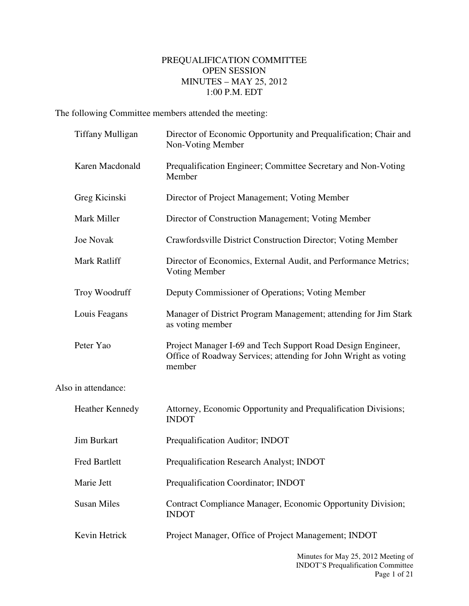## PREQUALIFICATION COMMITTEE OPEN SESSION MINUTES – MAY 25, 2012 1:00 P.M. EDT

The following Committee members attended the meeting:

|                     | <b>Tiffany Mulligan</b> | Director of Economic Opportunity and Prequalification; Chair and<br>Non-Voting Member                                                    |
|---------------------|-------------------------|------------------------------------------------------------------------------------------------------------------------------------------|
|                     | Karen Macdonald         | Prequalification Engineer; Committee Secretary and Non-Voting<br>Member                                                                  |
|                     | Greg Kicinski           | Director of Project Management; Voting Member                                                                                            |
|                     | Mark Miller             | Director of Construction Management; Voting Member                                                                                       |
|                     | <b>Joe Novak</b>        | Crawfordsville District Construction Director; Voting Member                                                                             |
|                     | Mark Ratliff            | Director of Economics, External Audit, and Performance Metrics;<br>Voting Member                                                         |
|                     | Troy Woodruff           | Deputy Commissioner of Operations; Voting Member                                                                                         |
|                     | Louis Feagans           | Manager of District Program Management; attending for Jim Stark<br>as voting member                                                      |
|                     | Peter Yao               | Project Manager I-69 and Tech Support Road Design Engineer,<br>Office of Roadway Services; attending for John Wright as voting<br>member |
| Also in attendance: |                         |                                                                                                                                          |
|                     | <b>Heather Kennedy</b>  | Attorney, Economic Opportunity and Prequalification Divisions;<br><b>INDOT</b>                                                           |
|                     | <b>Jim Burkart</b>      | Prequalification Auditor; INDOT                                                                                                          |
|                     | <b>Fred Bartlett</b>    | Prequalification Research Analyst; INDOT                                                                                                 |
|                     | Marie Jett              | Prequalification Coordinator; INDOT                                                                                                      |
|                     | <b>Susan Miles</b>      | Contract Compliance Manager, Economic Opportunity Division;<br><b>INDOT</b>                                                              |
|                     | Kevin Hetrick           | Project Manager, Office of Project Management; INDOT                                                                                     |
|                     |                         | Minutes for May 25, 2012 Meeting of                                                                                                      |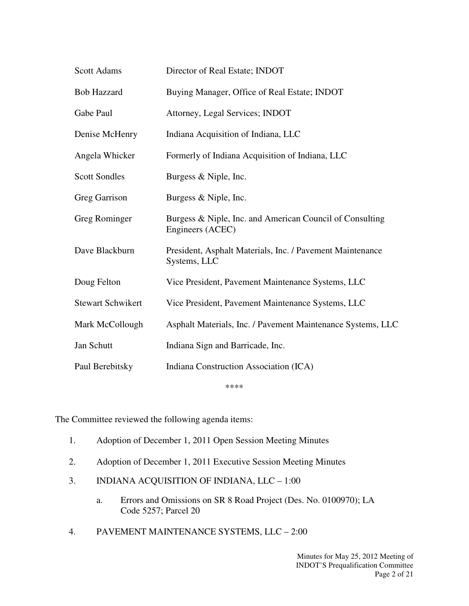| <b>Scott Adams</b>       | Director of Real Estate; INDOT                                               |
|--------------------------|------------------------------------------------------------------------------|
| <b>Bob Hazzard</b>       | Buying Manager, Office of Real Estate; INDOT                                 |
| Gabe Paul                | Attorney, Legal Services; INDOT                                              |
| Denise McHenry           | Indiana Acquisition of Indiana, LLC                                          |
| Angela Whicker           | Formerly of Indiana Acquisition of Indiana, LLC                              |
| <b>Scott Sondles</b>     | Burgess & Niple, Inc.                                                        |
| <b>Greg Garrison</b>     | Burgess & Niple, Inc.                                                        |
| Greg Rominger            | Burgess & Niple, Inc. and American Council of Consulting<br>Engineers (ACEC) |
| Dave Blackburn           | President, Asphalt Materials, Inc. / Pavement Maintenance<br>Systems, LLC    |
| Doug Felton              | Vice President, Pavement Maintenance Systems, LLC                            |
| <b>Stewart Schwikert</b> | Vice President, Pavement Maintenance Systems, LLC                            |
| Mark McCollough          | Asphalt Materials, Inc. / Pavement Maintenance Systems, LLC                  |
| Jan Schutt               | Indiana Sign and Barricade, Inc.                                             |
| Paul Berebitsky          | Indiana Construction Association (ICA)                                       |

\*\*\*\*

The Committee reviewed the following agenda items:

- 1. Adoption of December 1, 2011 Open Session Meeting Minutes
- 2. Adoption of December 1, 2011 Executive Session Meeting Minutes
- 3. INDIANA ACQUISITION OF INDIANA, LLC 1:00
	- a. Errors and Omissions on SR 8 Road Project (Des. No. 0100970); LA Code 5257; Parcel 20
- 4. PAVEMENT MAINTENANCE SYSTEMS, LLC 2:00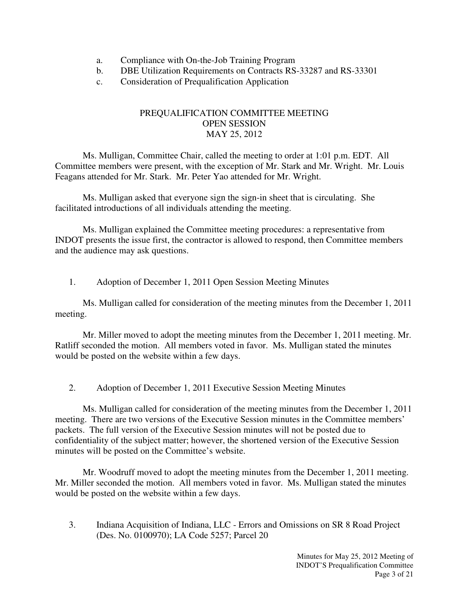- a. Compliance with On-the-Job Training Program
- b. DBE Utilization Requirements on Contracts RS-33287 and RS-33301
- c. Consideration of Prequalification Application

## PREQUALIFICATION COMMITTEE MEETING OPEN SESSION MAY 25, 2012

Ms. Mulligan, Committee Chair, called the meeting to order at 1:01 p.m. EDT. All Committee members were present, with the exception of Mr. Stark and Mr. Wright. Mr. Louis Feagans attended for Mr. Stark. Mr. Peter Yao attended for Mr. Wright.

Ms. Mulligan asked that everyone sign the sign-in sheet that is circulating. She facilitated introductions of all individuals attending the meeting.

Ms. Mulligan explained the Committee meeting procedures: a representative from INDOT presents the issue first, the contractor is allowed to respond, then Committee members and the audience may ask questions.

1. Adoption of December 1, 2011 Open Session Meeting Minutes

Ms. Mulligan called for consideration of the meeting minutes from the December 1, 2011 meeting.

Mr. Miller moved to adopt the meeting minutes from the December 1, 2011 meeting. Mr. Ratliff seconded the motion. All members voted in favor. Ms. Mulligan stated the minutes would be posted on the website within a few days.

2. Adoption of December 1, 2011 Executive Session Meeting Minutes

Ms. Mulligan called for consideration of the meeting minutes from the December 1, 2011 meeting. There are two versions of the Executive Session minutes in the Committee members' packets. The full version of the Executive Session minutes will not be posted due to confidentiality of the subject matter; however, the shortened version of the Executive Session minutes will be posted on the Committee's website.

Mr. Woodruff moved to adopt the meeting minutes from the December 1, 2011 meeting. Mr. Miller seconded the motion. All members voted in favor. Ms. Mulligan stated the minutes would be posted on the website within a few days.

3. Indiana Acquisition of Indiana, LLC - Errors and Omissions on SR 8 Road Project (Des. No. 0100970); LA Code 5257; Parcel 20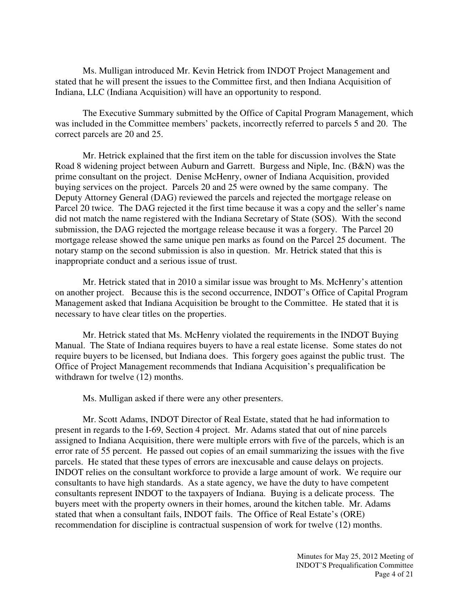Ms. Mulligan introduced Mr. Kevin Hetrick from INDOT Project Management and stated that he will present the issues to the Committee first, and then Indiana Acquisition of Indiana, LLC (Indiana Acquisition) will have an opportunity to respond.

The Executive Summary submitted by the Office of Capital Program Management, which was included in the Committee members' packets, incorrectly referred to parcels 5 and 20. The correct parcels are 20 and 25.

Mr. Hetrick explained that the first item on the table for discussion involves the State Road 8 widening project between Auburn and Garrett. Burgess and Niple, Inc. (B&N) was the prime consultant on the project. Denise McHenry, owner of Indiana Acquisition, provided buying services on the project. Parcels 20 and 25 were owned by the same company. The Deputy Attorney General (DAG) reviewed the parcels and rejected the mortgage release on Parcel 20 twice. The DAG rejected it the first time because it was a copy and the seller's name did not match the name registered with the Indiana Secretary of State (SOS). With the second submission, the DAG rejected the mortgage release because it was a forgery. The Parcel 20 mortgage release showed the same unique pen marks as found on the Parcel 25 document. The notary stamp on the second submission is also in question. Mr. Hetrick stated that this is inappropriate conduct and a serious issue of trust.

Mr. Hetrick stated that in 2010 a similar issue was brought to Ms. McHenry's attention on another project. Because this is the second occurrence, INDOT's Office of Capital Program Management asked that Indiana Acquisition be brought to the Committee. He stated that it is necessary to have clear titles on the properties.

Mr. Hetrick stated that Ms. McHenry violated the requirements in the INDOT Buying Manual. The State of Indiana requires buyers to have a real estate license. Some states do not require buyers to be licensed, but Indiana does. This forgery goes against the public trust. The Office of Project Management recommends that Indiana Acquisition's prequalification be withdrawn for twelve (12) months.

Ms. Mulligan asked if there were any other presenters.

Mr. Scott Adams, INDOT Director of Real Estate, stated that he had information to present in regards to the I-69, Section 4 project. Mr. Adams stated that out of nine parcels assigned to Indiana Acquisition, there were multiple errors with five of the parcels, which is an error rate of 55 percent. He passed out copies of an email summarizing the issues with the five parcels. He stated that these types of errors are inexcusable and cause delays on projects. INDOT relies on the consultant workforce to provide a large amount of work. We require our consultants to have high standards. As a state agency, we have the duty to have competent consultants represent INDOT to the taxpayers of Indiana. Buying is a delicate process. The buyers meet with the property owners in their homes, around the kitchen table. Mr. Adams stated that when a consultant fails, INDOT fails. The Office of Real Estate's (ORE) recommendation for discipline is contractual suspension of work for twelve (12) months.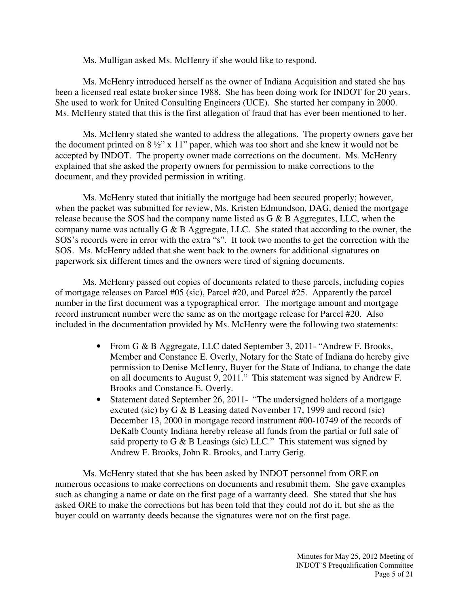Ms. Mulligan asked Ms. McHenry if she would like to respond.

Ms. McHenry introduced herself as the owner of Indiana Acquisition and stated she has been a licensed real estate broker since 1988. She has been doing work for INDOT for 20 years. She used to work for United Consulting Engineers (UCE). She started her company in 2000. Ms. McHenry stated that this is the first allegation of fraud that has ever been mentioned to her.

Ms. McHenry stated she wanted to address the allegations. The property owners gave her the document printed on 8 ½" x 11" paper, which was too short and she knew it would not be accepted by INDOT. The property owner made corrections on the document. Ms. McHenry explained that she asked the property owners for permission to make corrections to the document, and they provided permission in writing.

Ms. McHenry stated that initially the mortgage had been secured properly; however, when the packet was submitted for review, Ms. Kristen Edmundson, DAG, denied the mortgage release because the SOS had the company name listed as G & B Aggregates, LLC, when the company name was actually G & B Aggregate, LLC. She stated that according to the owner, the SOS's records were in error with the extra "s". It took two months to get the correction with the SOS. Ms. McHenry added that she went back to the owners for additional signatures on paperwork six different times and the owners were tired of signing documents.

Ms. McHenry passed out copies of documents related to these parcels, including copies of mortgage releases on Parcel #05 (sic), Parcel #20, and Parcel #25. Apparently the parcel number in the first document was a typographical error. The mortgage amount and mortgage record instrument number were the same as on the mortgage release for Parcel #20. Also included in the documentation provided by Ms. McHenry were the following two statements:

- From G & B Aggregate, LLC dated September 3, 2011- "Andrew F. Brooks, Member and Constance E. Overly, Notary for the State of Indiana do hereby give permission to Denise McHenry, Buyer for the State of Indiana, to change the date on all documents to August 9, 2011." This statement was signed by Andrew F. Brooks and Constance E. Overly.
- Statement dated September 26, 2011- "The undersigned holders of a mortgage excuted (sic) by G & B Leasing dated November 17, 1999 and record (sic) December 13, 2000 in mortgage record instrument #00-10749 of the records of DeKalb County Indiana hereby release all funds from the partial or full sale of said property to G & B Leasings (sic) LLC." This statement was signed by Andrew F. Brooks, John R. Brooks, and Larry Gerig.

Ms. McHenry stated that she has been asked by INDOT personnel from ORE on numerous occasions to make corrections on documents and resubmit them. She gave examples such as changing a name or date on the first page of a warranty deed. She stated that she has asked ORE to make the corrections but has been told that they could not do it, but she as the buyer could on warranty deeds because the signatures were not on the first page.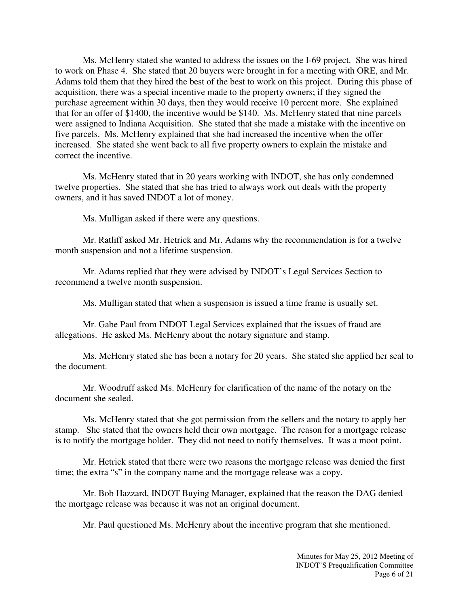Ms. McHenry stated she wanted to address the issues on the I-69 project. She was hired to work on Phase 4. She stated that 20 buyers were brought in for a meeting with ORE, and Mr. Adams told them that they hired the best of the best to work on this project. During this phase of acquisition, there was a special incentive made to the property owners; if they signed the purchase agreement within 30 days, then they would receive 10 percent more. She explained that for an offer of \$1400, the incentive would be \$140. Ms. McHenry stated that nine parcels were assigned to Indiana Acquisition. She stated that she made a mistake with the incentive on five parcels. Ms. McHenry explained that she had increased the incentive when the offer increased. She stated she went back to all five property owners to explain the mistake and correct the incentive.

Ms. McHenry stated that in 20 years working with INDOT, she has only condemned twelve properties. She stated that she has tried to always work out deals with the property owners, and it has saved INDOT a lot of money.

Ms. Mulligan asked if there were any questions.

Mr. Ratliff asked Mr. Hetrick and Mr. Adams why the recommendation is for a twelve month suspension and not a lifetime suspension.

Mr. Adams replied that they were advised by INDOT's Legal Services Section to recommend a twelve month suspension.

Ms. Mulligan stated that when a suspension is issued a time frame is usually set.

Mr. Gabe Paul from INDOT Legal Services explained that the issues of fraud are allegations. He asked Ms. McHenry about the notary signature and stamp.

Ms. McHenry stated she has been a notary for 20 years. She stated she applied her seal to the document.

Mr. Woodruff asked Ms. McHenry for clarification of the name of the notary on the document she sealed.

Ms. McHenry stated that she got permission from the sellers and the notary to apply her stamp. She stated that the owners held their own mortgage. The reason for a mortgage release is to notify the mortgage holder. They did not need to notify themselves. It was a moot point.

Mr. Hetrick stated that there were two reasons the mortgage release was denied the first time; the extra "s" in the company name and the mortgage release was a copy.

Mr. Bob Hazzard, INDOT Buying Manager, explained that the reason the DAG denied the mortgage release was because it was not an original document.

Mr. Paul questioned Ms. McHenry about the incentive program that she mentioned.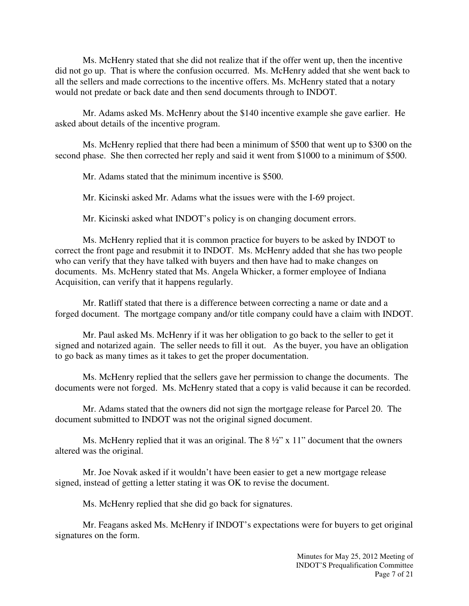Ms. McHenry stated that she did not realize that if the offer went up, then the incentive did not go up. That is where the confusion occurred. Ms. McHenry added that she went back to all the sellers and made corrections to the incentive offers. Ms. McHenry stated that a notary would not predate or back date and then send documents through to INDOT.

Mr. Adams asked Ms. McHenry about the \$140 incentive example she gave earlier. He asked about details of the incentive program.

Ms. McHenry replied that there had been a minimum of \$500 that went up to \$300 on the second phase. She then corrected her reply and said it went from \$1000 to a minimum of \$500.

Mr. Adams stated that the minimum incentive is \$500.

Mr. Kicinski asked Mr. Adams what the issues were with the I-69 project.

Mr. Kicinski asked what INDOT's policy is on changing document errors.

Ms. McHenry replied that it is common practice for buyers to be asked by INDOT to correct the front page and resubmit it to INDOT. Ms. McHenry added that she has two people who can verify that they have talked with buyers and then have had to make changes on documents. Ms. McHenry stated that Ms. Angela Whicker, a former employee of Indiana Acquisition, can verify that it happens regularly.

Mr. Ratliff stated that there is a difference between correcting a name or date and a forged document. The mortgage company and/or title company could have a claim with INDOT.

Mr. Paul asked Ms. McHenry if it was her obligation to go back to the seller to get it signed and notarized again. The seller needs to fill it out. As the buyer, you have an obligation to go back as many times as it takes to get the proper documentation.

Ms. McHenry replied that the sellers gave her permission to change the documents. The documents were not forged. Ms. McHenry stated that a copy is valid because it can be recorded.

Mr. Adams stated that the owners did not sign the mortgage release for Parcel 20. The document submitted to INDOT was not the original signed document.

Ms. McHenry replied that it was an original. The  $8\frac{1}{2}$  x 11" document that the owners altered was the original.

Mr. Joe Novak asked if it wouldn't have been easier to get a new mortgage release signed, instead of getting a letter stating it was OK to revise the document.

Ms. McHenry replied that she did go back for signatures.

Mr. Feagans asked Ms. McHenry if INDOT's expectations were for buyers to get original signatures on the form.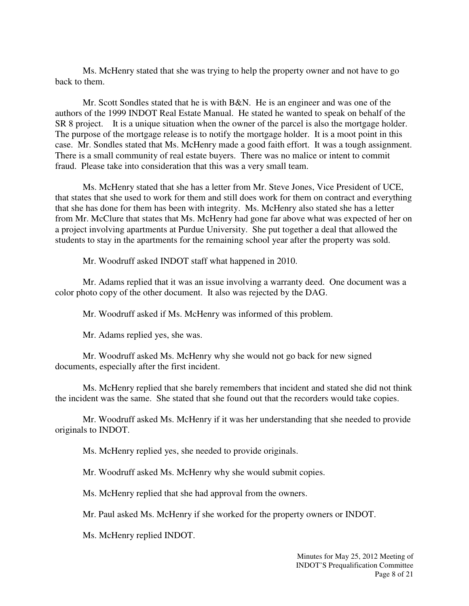Ms. McHenry stated that she was trying to help the property owner and not have to go back to them.

Mr. Scott Sondles stated that he is with B&N. He is an engineer and was one of the authors of the 1999 INDOT Real Estate Manual. He stated he wanted to speak on behalf of the SR 8 project. It is a unique situation when the owner of the parcel is also the mortgage holder. The purpose of the mortgage release is to notify the mortgage holder. It is a moot point in this case. Mr. Sondles stated that Ms. McHenry made a good faith effort. It was a tough assignment. There is a small community of real estate buyers. There was no malice or intent to commit fraud. Please take into consideration that this was a very small team.

Ms. McHenry stated that she has a letter from Mr. Steve Jones, Vice President of UCE, that states that she used to work for them and still does work for them on contract and everything that she has done for them has been with integrity. Ms. McHenry also stated she has a letter from Mr. McClure that states that Ms. McHenry had gone far above what was expected of her on a project involving apartments at Purdue University. She put together a deal that allowed the students to stay in the apartments for the remaining school year after the property was sold.

Mr. Woodruff asked INDOT staff what happened in 2010.

Mr. Adams replied that it was an issue involving a warranty deed. One document was a color photo copy of the other document. It also was rejected by the DAG.

Mr. Woodruff asked if Ms. McHenry was informed of this problem.

Mr. Adams replied yes, she was.

Mr. Woodruff asked Ms. McHenry why she would not go back for new signed documents, especially after the first incident.

Ms. McHenry replied that she barely remembers that incident and stated she did not think the incident was the same. She stated that she found out that the recorders would take copies.

Mr. Woodruff asked Ms. McHenry if it was her understanding that she needed to provide originals to INDOT.

Ms. McHenry replied yes, she needed to provide originals.

Mr. Woodruff asked Ms. McHenry why she would submit copies.

Ms. McHenry replied that she had approval from the owners.

Mr. Paul asked Ms. McHenry if she worked for the property owners or INDOT.

Ms. McHenry replied INDOT.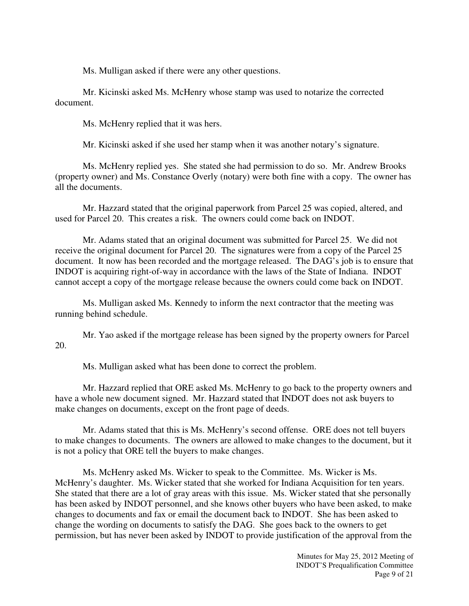Ms. Mulligan asked if there were any other questions.

Mr. Kicinski asked Ms. McHenry whose stamp was used to notarize the corrected document.

Ms. McHenry replied that it was hers.

Mr. Kicinski asked if she used her stamp when it was another notary's signature.

Ms. McHenry replied yes. She stated she had permission to do so. Mr. Andrew Brooks (property owner) and Ms. Constance Overly (notary) were both fine with a copy. The owner has all the documents.

Mr. Hazzard stated that the original paperwork from Parcel 25 was copied, altered, and used for Parcel 20. This creates a risk. The owners could come back on INDOT.

Mr. Adams stated that an original document was submitted for Parcel 25. We did not receive the original document for Parcel 20. The signatures were from a copy of the Parcel 25 document. It now has been recorded and the mortgage released. The DAG's job is to ensure that INDOT is acquiring right-of-way in accordance with the laws of the State of Indiana. INDOT cannot accept a copy of the mortgage release because the owners could come back on INDOT.

Ms. Mulligan asked Ms. Kennedy to inform the next contractor that the meeting was running behind schedule.

Mr. Yao asked if the mortgage release has been signed by the property owners for Parcel 20.

Ms. Mulligan asked what has been done to correct the problem.

Mr. Hazzard replied that ORE asked Ms. McHenry to go back to the property owners and have a whole new document signed. Mr. Hazzard stated that INDOT does not ask buyers to make changes on documents, except on the front page of deeds.

Mr. Adams stated that this is Ms. McHenry's second offense. ORE does not tell buyers to make changes to documents. The owners are allowed to make changes to the document, but it is not a policy that ORE tell the buyers to make changes.

Ms. McHenry asked Ms. Wicker to speak to the Committee. Ms. Wicker is Ms. McHenry's daughter. Ms. Wicker stated that she worked for Indiana Acquisition for ten years. She stated that there are a lot of gray areas with this issue. Ms. Wicker stated that she personally has been asked by INDOT personnel, and she knows other buyers who have been asked, to make changes to documents and fax or email the document back to INDOT. She has been asked to change the wording on documents to satisfy the DAG. She goes back to the owners to get permission, but has never been asked by INDOT to provide justification of the approval from the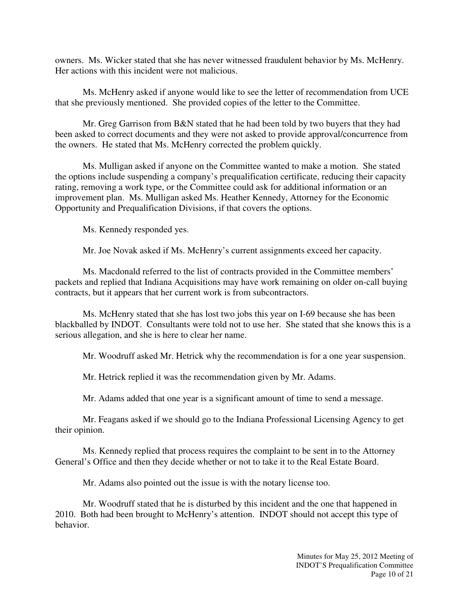owners. Ms. Wicker stated that she has never witnessed fraudulent behavior by Ms. McHenry. Her actions with this incident were not malicious.

Ms. McHenry asked if anyone would like to see the letter of recommendation from UCE that she previously mentioned. She provided copies of the letter to the Committee.

Mr. Greg Garrison from B&N stated that he had been told by two buyers that they had been asked to correct documents and they were not asked to provide approval/concurrence from the owners. He stated that Ms. McHenry corrected the problem quickly.

Ms. Mulligan asked if anyone on the Committee wanted to make a motion. She stated the options include suspending a company's prequalification certificate, reducing their capacity rating, removing a work type, or the Committee could ask for additional information or an improvement plan. Ms. Mulligan asked Ms. Heather Kennedy, Attorney for the Economic Opportunity and Prequalification Divisions, if that covers the options.

Ms. Kennedy responded yes.

Mr. Joe Novak asked if Ms. McHenry's current assignments exceed her capacity.

Ms. Macdonald referred to the list of contracts provided in the Committee members' packets and replied that Indiana Acquisitions may have work remaining on older on-call buying contracts, but it appears that her current work is from subcontractors.

Ms. McHenry stated that she has lost two jobs this year on I-69 because she has been blackballed by INDOT. Consultants were told not to use her. She stated that she knows this is a serious allegation, and she is here to clear her name.

Mr. Woodruff asked Mr. Hetrick why the recommendation is for a one year suspension.

Mr. Hetrick replied it was the recommendation given by Mr. Adams.

Mr. Adams added that one year is a significant amount of time to send a message.

Mr. Feagans asked if we should go to the Indiana Professional Licensing Agency to get their opinion.

Ms. Kennedy replied that process requires the complaint to be sent in to the Attorney General's Office and then they decide whether or not to take it to the Real Estate Board.

Mr. Adams also pointed out the issue is with the notary license too.

Mr. Woodruff stated that he is disturbed by this incident and the one that happened in 2010. Both had been brought to McHenry's attention. INDOT should not accept this type of behavior.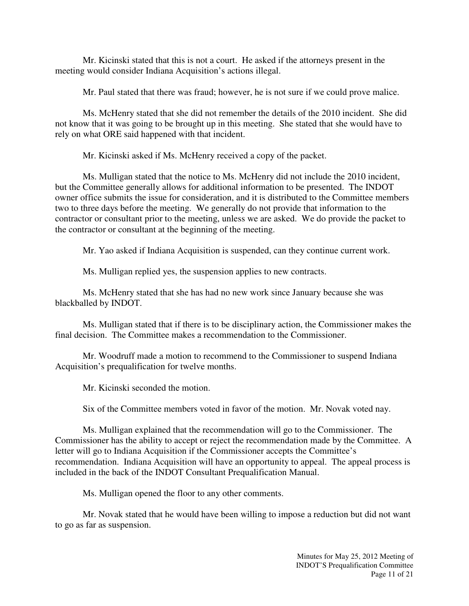Mr. Kicinski stated that this is not a court. He asked if the attorneys present in the meeting would consider Indiana Acquisition's actions illegal.

Mr. Paul stated that there was fraud; however, he is not sure if we could prove malice.

Ms. McHenry stated that she did not remember the details of the 2010 incident. She did not know that it was going to be brought up in this meeting. She stated that she would have to rely on what ORE said happened with that incident.

Mr. Kicinski asked if Ms. McHenry received a copy of the packet.

Ms. Mulligan stated that the notice to Ms. McHenry did not include the 2010 incident, but the Committee generally allows for additional information to be presented. The INDOT owner office submits the issue for consideration, and it is distributed to the Committee members two to three days before the meeting. We generally do not provide that information to the contractor or consultant prior to the meeting, unless we are asked. We do provide the packet to the contractor or consultant at the beginning of the meeting.

Mr. Yao asked if Indiana Acquisition is suspended, can they continue current work.

Ms. Mulligan replied yes, the suspension applies to new contracts.

Ms. McHenry stated that she has had no new work since January because she was blackballed by INDOT.

Ms. Mulligan stated that if there is to be disciplinary action, the Commissioner makes the final decision. The Committee makes a recommendation to the Commissioner.

Mr. Woodruff made a motion to recommend to the Commissioner to suspend Indiana Acquisition's prequalification for twelve months.

Mr. Kicinski seconded the motion.

Six of the Committee members voted in favor of the motion. Mr. Novak voted nay.

Ms. Mulligan explained that the recommendation will go to the Commissioner. The Commissioner has the ability to accept or reject the recommendation made by the Committee. A letter will go to Indiana Acquisition if the Commissioner accepts the Committee's recommendation. Indiana Acquisition will have an opportunity to appeal. The appeal process is included in the back of the INDOT Consultant Prequalification Manual.

Ms. Mulligan opened the floor to any other comments.

Mr. Novak stated that he would have been willing to impose a reduction but did not want to go as far as suspension.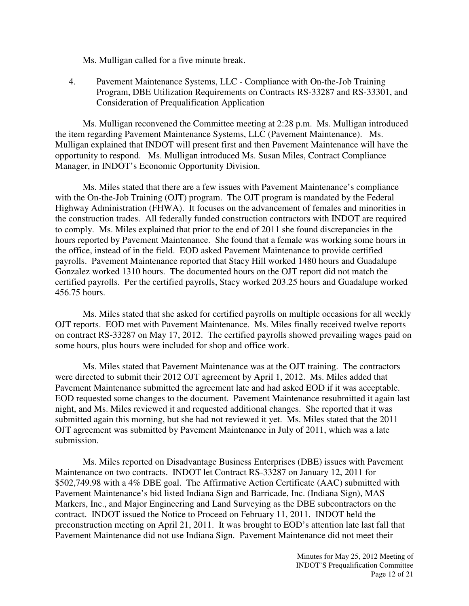Ms. Mulligan called for a five minute break.

4. Pavement Maintenance Systems, LLC - Compliance with On-the-Job Training Program, DBE Utilization Requirements on Contracts RS-33287 and RS-33301, and Consideration of Prequalification Application

Ms. Mulligan reconvened the Committee meeting at 2:28 p.m. Ms. Mulligan introduced the item regarding Pavement Maintenance Systems, LLC (Pavement Maintenance). Ms. Mulligan explained that INDOT will present first and then Pavement Maintenance will have the opportunity to respond. Ms. Mulligan introduced Ms. Susan Miles, Contract Compliance Manager, in INDOT's Economic Opportunity Division.

Ms. Miles stated that there are a few issues with Pavement Maintenance's compliance with the On-the-Job Training (OJT) program. The OJT program is mandated by the Federal Highway Administration (FHWA). It focuses on the advancement of females and minorities in the construction trades. All federally funded construction contractors with INDOT are required to comply. Ms. Miles explained that prior to the end of 2011 she found discrepancies in the hours reported by Pavement Maintenance. She found that a female was working some hours in the office, instead of in the field. EOD asked Pavement Maintenance to provide certified payrolls. Pavement Maintenance reported that Stacy Hill worked 1480 hours and Guadalupe Gonzalez worked 1310 hours. The documented hours on the OJT report did not match the certified payrolls. Per the certified payrolls, Stacy worked 203.25 hours and Guadalupe worked 456.75 hours.

Ms. Miles stated that she asked for certified payrolls on multiple occasions for all weekly OJT reports. EOD met with Pavement Maintenance. Ms. Miles finally received twelve reports on contract RS-33287 on May 17, 2012. The certified payrolls showed prevailing wages paid on some hours, plus hours were included for shop and office work.

Ms. Miles stated that Pavement Maintenance was at the OJT training. The contractors were directed to submit their 2012 OJT agreement by April 1, 2012. Ms. Miles added that Pavement Maintenance submitted the agreement late and had asked EOD if it was acceptable. EOD requested some changes to the document. Pavement Maintenance resubmitted it again last night, and Ms. Miles reviewed it and requested additional changes. She reported that it was submitted again this morning, but she had not reviewed it yet. Ms. Miles stated that the 2011 OJT agreement was submitted by Pavement Maintenance in July of 2011, which was a late submission.

Ms. Miles reported on Disadvantage Business Enterprises (DBE) issues with Pavement Maintenance on two contracts. INDOT let Contract RS-33287 on January 12, 2011 for \$502,749.98 with a 4% DBE goal. The Affirmative Action Certificate (AAC) submitted with Pavement Maintenance's bid listed Indiana Sign and Barricade, Inc. (Indiana Sign), MAS Markers, Inc., and Major Engineering and Land Surveying as the DBE subcontractors on the contract. INDOT issued the Notice to Proceed on February 11, 2011. INDOT held the preconstruction meeting on April 21, 2011. It was brought to EOD's attention late last fall that Pavement Maintenance did not use Indiana Sign. Pavement Maintenance did not meet their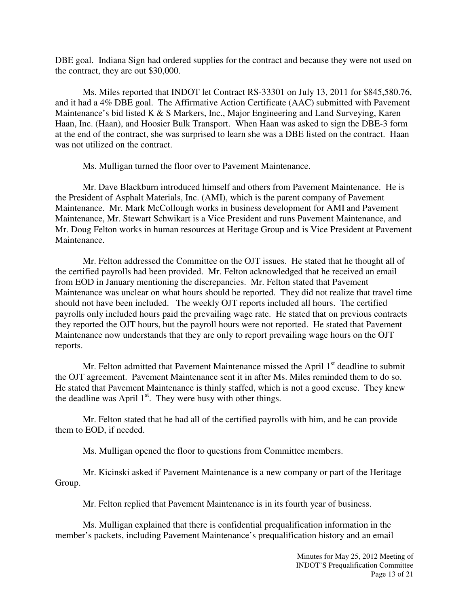DBE goal. Indiana Sign had ordered supplies for the contract and because they were not used on the contract, they are out \$30,000.

Ms. Miles reported that INDOT let Contract RS-33301 on July 13, 2011 for \$845,580.76, and it had a 4% DBE goal. The Affirmative Action Certificate (AAC) submitted with Pavement Maintenance's bid listed K & S Markers, Inc., Major Engineering and Land Surveying, Karen Haan, Inc. (Haan), and Hoosier Bulk Transport. When Haan was asked to sign the DBE-3 form at the end of the contract, she was surprised to learn she was a DBE listed on the contract. Haan was not utilized on the contract.

Ms. Mulligan turned the floor over to Pavement Maintenance.

Mr. Dave Blackburn introduced himself and others from Pavement Maintenance. He is the President of Asphalt Materials, Inc. (AMI), which is the parent company of Pavement Maintenance. Mr. Mark McCollough works in business development for AMI and Pavement Maintenance, Mr. Stewart Schwikart is a Vice President and runs Pavement Maintenance, and Mr. Doug Felton works in human resources at Heritage Group and is Vice President at Pavement Maintenance.

Mr. Felton addressed the Committee on the OJT issues. He stated that he thought all of the certified payrolls had been provided. Mr. Felton acknowledged that he received an email from EOD in January mentioning the discrepancies. Mr. Felton stated that Pavement Maintenance was unclear on what hours should be reported. They did not realize that travel time should not have been included. The weekly OJT reports included all hours. The certified payrolls only included hours paid the prevailing wage rate. He stated that on previous contracts they reported the OJT hours, but the payroll hours were not reported. He stated that Pavement Maintenance now understands that they are only to report prevailing wage hours on the OJT reports.

Mr. Felton admitted that Pavement Maintenance missed the April 1<sup>st</sup> deadline to submit the OJT agreement. Pavement Maintenance sent it in after Ms. Miles reminded them to do so. He stated that Pavement Maintenance is thinly staffed, which is not a good excuse. They knew the deadline was April  $1<sup>st</sup>$ . They were busy with other things.

Mr. Felton stated that he had all of the certified payrolls with him, and he can provide them to EOD, if needed.

Ms. Mulligan opened the floor to questions from Committee members.

Mr. Kicinski asked if Pavement Maintenance is a new company or part of the Heritage Group.

Mr. Felton replied that Pavement Maintenance is in its fourth year of business.

Ms. Mulligan explained that there is confidential prequalification information in the member's packets, including Pavement Maintenance's prequalification history and an email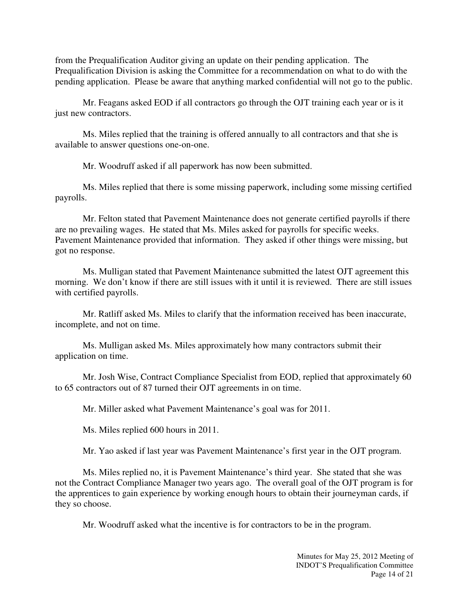from the Prequalification Auditor giving an update on their pending application. The Prequalification Division is asking the Committee for a recommendation on what to do with the pending application. Please be aware that anything marked confidential will not go to the public.

Mr. Feagans asked EOD if all contractors go through the OJT training each year or is it just new contractors.

Ms. Miles replied that the training is offered annually to all contractors and that she is available to answer questions one-on-one.

Mr. Woodruff asked if all paperwork has now been submitted.

Ms. Miles replied that there is some missing paperwork, including some missing certified payrolls.

Mr. Felton stated that Pavement Maintenance does not generate certified payrolls if there are no prevailing wages. He stated that Ms. Miles asked for payrolls for specific weeks. Pavement Maintenance provided that information. They asked if other things were missing, but got no response.

Ms. Mulligan stated that Pavement Maintenance submitted the latest OJT agreement this morning. We don't know if there are still issues with it until it is reviewed. There are still issues with certified payrolls.

Mr. Ratliff asked Ms. Miles to clarify that the information received has been inaccurate, incomplete, and not on time.

Ms. Mulligan asked Ms. Miles approximately how many contractors submit their application on time.

Mr. Josh Wise, Contract Compliance Specialist from EOD, replied that approximately 60 to 65 contractors out of 87 turned their OJT agreements in on time.

Mr. Miller asked what Pavement Maintenance's goal was for 2011.

Ms. Miles replied 600 hours in 2011.

Mr. Yao asked if last year was Pavement Maintenance's first year in the OJT program.

Ms. Miles replied no, it is Pavement Maintenance's third year. She stated that she was not the Contract Compliance Manager two years ago. The overall goal of the OJT program is for the apprentices to gain experience by working enough hours to obtain their journeyman cards, if they so choose.

Mr. Woodruff asked what the incentive is for contractors to be in the program.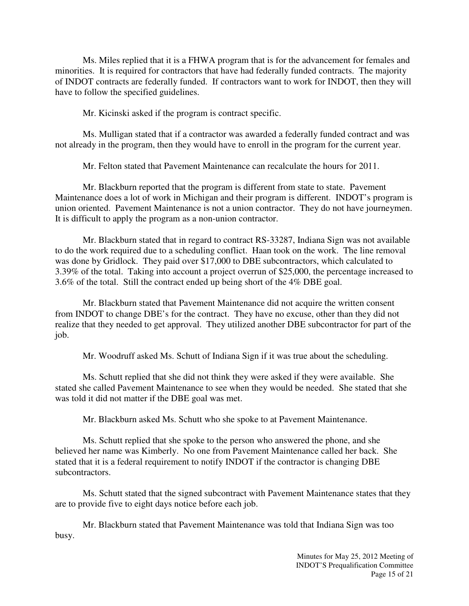Ms. Miles replied that it is a FHWA program that is for the advancement for females and minorities. It is required for contractors that have had federally funded contracts. The majority of INDOT contracts are federally funded. If contractors want to work for INDOT, then they will have to follow the specified guidelines.

Mr. Kicinski asked if the program is contract specific.

Ms. Mulligan stated that if a contractor was awarded a federally funded contract and was not already in the program, then they would have to enroll in the program for the current year.

Mr. Felton stated that Pavement Maintenance can recalculate the hours for 2011.

Mr. Blackburn reported that the program is different from state to state. Pavement Maintenance does a lot of work in Michigan and their program is different. INDOT's program is union oriented. Pavement Maintenance is not a union contractor. They do not have journeymen. It is difficult to apply the program as a non-union contractor.

Mr. Blackburn stated that in regard to contract RS-33287, Indiana Sign was not available to do the work required due to a scheduling conflict. Haan took on the work. The line removal was done by Gridlock. They paid over \$17,000 to DBE subcontractors, which calculated to 3.39% of the total. Taking into account a project overrun of \$25,000, the percentage increased to 3.6% of the total. Still the contract ended up being short of the 4% DBE goal.

Mr. Blackburn stated that Pavement Maintenance did not acquire the written consent from INDOT to change DBE's for the contract. They have no excuse, other than they did not realize that they needed to get approval. They utilized another DBE subcontractor for part of the job.

Mr. Woodruff asked Ms. Schutt of Indiana Sign if it was true about the scheduling.

Ms. Schutt replied that she did not think they were asked if they were available. She stated she called Pavement Maintenance to see when they would be needed. She stated that she was told it did not matter if the DBE goal was met.

Mr. Blackburn asked Ms. Schutt who she spoke to at Pavement Maintenance.

Ms. Schutt replied that she spoke to the person who answered the phone, and she believed her name was Kimberly. No one from Pavement Maintenance called her back. She stated that it is a federal requirement to notify INDOT if the contractor is changing DBE subcontractors.

Ms. Schutt stated that the signed subcontract with Pavement Maintenance states that they are to provide five to eight days notice before each job.

Mr. Blackburn stated that Pavement Maintenance was told that Indiana Sign was too busy.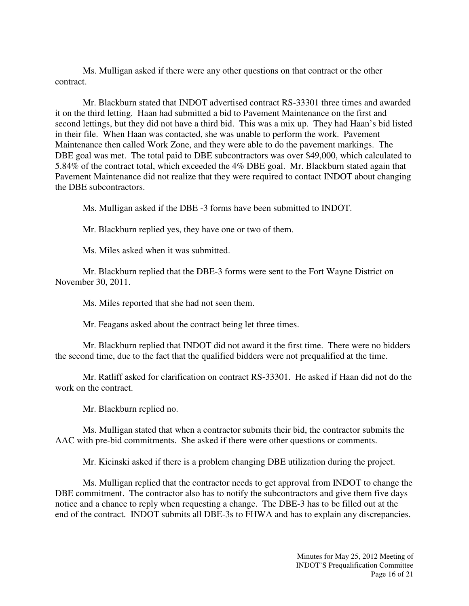Ms. Mulligan asked if there were any other questions on that contract or the other contract.

Mr. Blackburn stated that INDOT advertised contract RS-33301 three times and awarded it on the third letting. Haan had submitted a bid to Pavement Maintenance on the first and second lettings, but they did not have a third bid. This was a mix up. They had Haan's bid listed in their file. When Haan was contacted, she was unable to perform the work. Pavement Maintenance then called Work Zone, and they were able to do the pavement markings. The DBE goal was met. The total paid to DBE subcontractors was over \$49,000, which calculated to 5.84% of the contract total, which exceeded the 4% DBE goal. Mr. Blackburn stated again that Pavement Maintenance did not realize that they were required to contact INDOT about changing the DBE subcontractors.

Ms. Mulligan asked if the DBE -3 forms have been submitted to INDOT.

Mr. Blackburn replied yes, they have one or two of them.

Ms. Miles asked when it was submitted.

Mr. Blackburn replied that the DBE-3 forms were sent to the Fort Wayne District on November 30, 2011.

Ms. Miles reported that she had not seen them.

Mr. Feagans asked about the contract being let three times.

Mr. Blackburn replied that INDOT did not award it the first time. There were no bidders the second time, due to the fact that the qualified bidders were not prequalified at the time.

Mr. Ratliff asked for clarification on contract RS-33301. He asked if Haan did not do the work on the contract.

Mr. Blackburn replied no.

Ms. Mulligan stated that when a contractor submits their bid, the contractor submits the AAC with pre-bid commitments. She asked if there were other questions or comments.

Mr. Kicinski asked if there is a problem changing DBE utilization during the project.

Ms. Mulligan replied that the contractor needs to get approval from INDOT to change the DBE commitment. The contractor also has to notify the subcontractors and give them five days notice and a chance to reply when requesting a change. The DBE-3 has to be filled out at the end of the contract. INDOT submits all DBE-3s to FHWA and has to explain any discrepancies.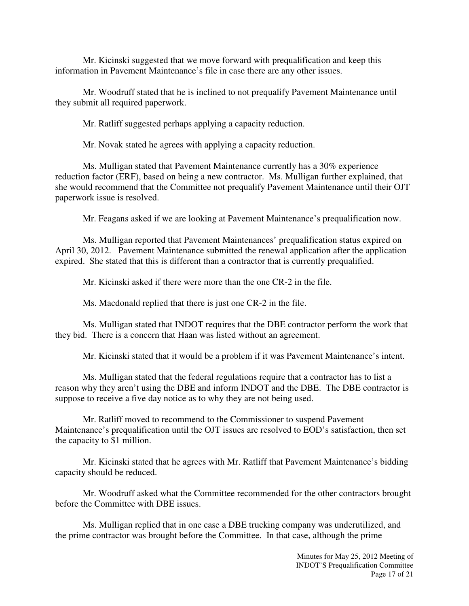Mr. Kicinski suggested that we move forward with prequalification and keep this information in Pavement Maintenance's file in case there are any other issues.

Mr. Woodruff stated that he is inclined to not prequalify Pavement Maintenance until they submit all required paperwork.

Mr. Ratliff suggested perhaps applying a capacity reduction.

Mr. Novak stated he agrees with applying a capacity reduction.

Ms. Mulligan stated that Pavement Maintenance currently has a 30% experience reduction factor (ERF), based on being a new contractor. Ms. Mulligan further explained, that she would recommend that the Committee not prequalify Pavement Maintenance until their OJT paperwork issue is resolved.

Mr. Feagans asked if we are looking at Pavement Maintenance's prequalification now.

Ms. Mulligan reported that Pavement Maintenances' prequalification status expired on April 30, 2012. Pavement Maintenance submitted the renewal application after the application expired. She stated that this is different than a contractor that is currently prequalified.

Mr. Kicinski asked if there were more than the one CR-2 in the file.

Ms. Macdonald replied that there is just one CR-2 in the file.

Ms. Mulligan stated that INDOT requires that the DBE contractor perform the work that they bid. There is a concern that Haan was listed without an agreement.

Mr. Kicinski stated that it would be a problem if it was Pavement Maintenance's intent.

Ms. Mulligan stated that the federal regulations require that a contractor has to list a reason why they aren't using the DBE and inform INDOT and the DBE. The DBE contractor is suppose to receive a five day notice as to why they are not being used.

Mr. Ratliff moved to recommend to the Commissioner to suspend Pavement Maintenance's prequalification until the OJT issues are resolved to EOD's satisfaction, then set the capacity to \$1 million.

Mr. Kicinski stated that he agrees with Mr. Ratliff that Pavement Maintenance's bidding capacity should be reduced.

Mr. Woodruff asked what the Committee recommended for the other contractors brought before the Committee with DBE issues.

Ms. Mulligan replied that in one case a DBE trucking company was underutilized, and the prime contractor was brought before the Committee. In that case, although the prime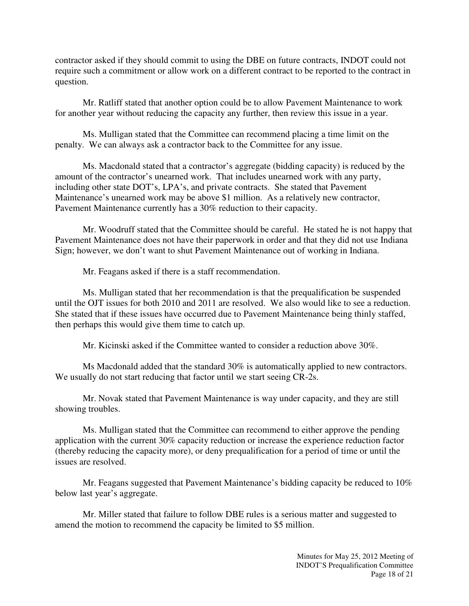contractor asked if they should commit to using the DBE on future contracts, INDOT could not require such a commitment or allow work on a different contract to be reported to the contract in question.

Mr. Ratliff stated that another option could be to allow Pavement Maintenance to work for another year without reducing the capacity any further, then review this issue in a year.

Ms. Mulligan stated that the Committee can recommend placing a time limit on the penalty. We can always ask a contractor back to the Committee for any issue.

Ms. Macdonald stated that a contractor's aggregate (bidding capacity) is reduced by the amount of the contractor's unearned work. That includes unearned work with any party, including other state DOT's, LPA's, and private contracts. She stated that Pavement Maintenance's unearned work may be above \$1 million. As a relatively new contractor, Pavement Maintenance currently has a 30% reduction to their capacity.

Mr. Woodruff stated that the Committee should be careful. He stated he is not happy that Pavement Maintenance does not have their paperwork in order and that they did not use Indiana Sign; however, we don't want to shut Pavement Maintenance out of working in Indiana.

Mr. Feagans asked if there is a staff recommendation.

Ms. Mulligan stated that her recommendation is that the prequalification be suspended until the OJT issues for both 2010 and 2011 are resolved. We also would like to see a reduction. She stated that if these issues have occurred due to Pavement Maintenance being thinly staffed, then perhaps this would give them time to catch up.

Mr. Kicinski asked if the Committee wanted to consider a reduction above 30%.

Ms Macdonald added that the standard 30% is automatically applied to new contractors. We usually do not start reducing that factor until we start seeing CR-2s.

Mr. Novak stated that Pavement Maintenance is way under capacity, and they are still showing troubles.

Ms. Mulligan stated that the Committee can recommend to either approve the pending application with the current 30% capacity reduction or increase the experience reduction factor (thereby reducing the capacity more), or deny prequalification for a period of time or until the issues are resolved.

Mr. Feagans suggested that Pavement Maintenance's bidding capacity be reduced to 10% below last year's aggregate.

Mr. Miller stated that failure to follow DBE rules is a serious matter and suggested to amend the motion to recommend the capacity be limited to \$5 million.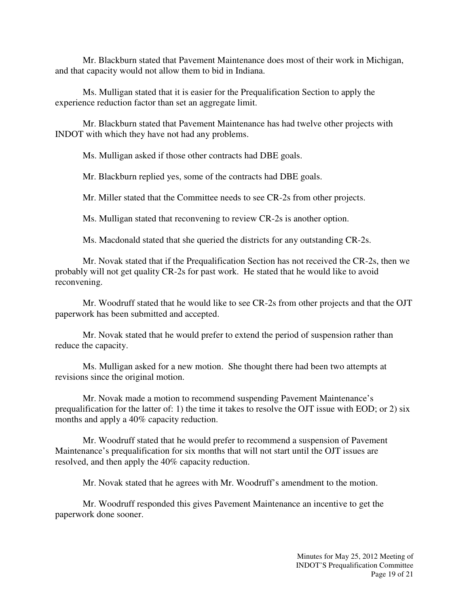Mr. Blackburn stated that Pavement Maintenance does most of their work in Michigan, and that capacity would not allow them to bid in Indiana.

Ms. Mulligan stated that it is easier for the Prequalification Section to apply the experience reduction factor than set an aggregate limit.

Mr. Blackburn stated that Pavement Maintenance has had twelve other projects with INDOT with which they have not had any problems.

Ms. Mulligan asked if those other contracts had DBE goals.

Mr. Blackburn replied yes, some of the contracts had DBE goals.

Mr. Miller stated that the Committee needs to see CR-2s from other projects.

Ms. Mulligan stated that reconvening to review CR-2s is another option.

Ms. Macdonald stated that she queried the districts for any outstanding CR-2s.

Mr. Novak stated that if the Prequalification Section has not received the CR-2s, then we probably will not get quality CR-2s for past work. He stated that he would like to avoid reconvening.

Mr. Woodruff stated that he would like to see CR-2s from other projects and that the OJT paperwork has been submitted and accepted.

Mr. Novak stated that he would prefer to extend the period of suspension rather than reduce the capacity.

Ms. Mulligan asked for a new motion. She thought there had been two attempts at revisions since the original motion.

Mr. Novak made a motion to recommend suspending Pavement Maintenance's prequalification for the latter of: 1) the time it takes to resolve the OJT issue with EOD; or 2) six months and apply a 40% capacity reduction.

Mr. Woodruff stated that he would prefer to recommend a suspension of Pavement Maintenance's prequalification for six months that will not start until the OJT issues are resolved, and then apply the 40% capacity reduction.

Mr. Novak stated that he agrees with Mr. Woodruff's amendment to the motion.

Mr. Woodruff responded this gives Pavement Maintenance an incentive to get the paperwork done sooner.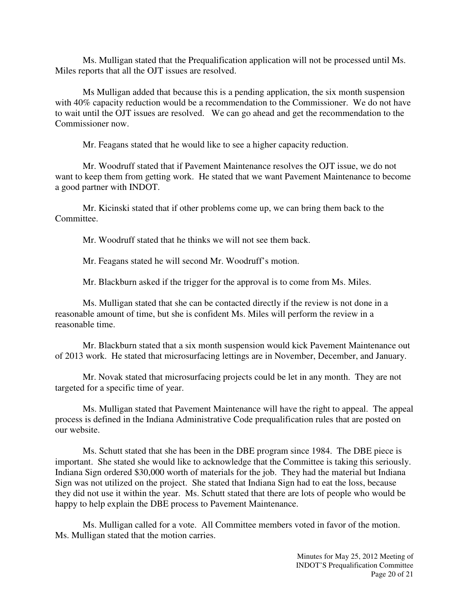Ms. Mulligan stated that the Prequalification application will not be processed until Ms. Miles reports that all the OJT issues are resolved.

Ms Mulligan added that because this is a pending application, the six month suspension with 40% capacity reduction would be a recommendation to the Commissioner. We do not have to wait until the OJT issues are resolved. We can go ahead and get the recommendation to the Commissioner now.

Mr. Feagans stated that he would like to see a higher capacity reduction.

Mr. Woodruff stated that if Pavement Maintenance resolves the OJT issue, we do not want to keep them from getting work. He stated that we want Pavement Maintenance to become a good partner with INDOT.

Mr. Kicinski stated that if other problems come up, we can bring them back to the Committee.

Mr. Woodruff stated that he thinks we will not see them back.

Mr. Feagans stated he will second Mr. Woodruff's motion.

Mr. Blackburn asked if the trigger for the approval is to come from Ms. Miles.

Ms. Mulligan stated that she can be contacted directly if the review is not done in a reasonable amount of time, but she is confident Ms. Miles will perform the review in a reasonable time.

Mr. Blackburn stated that a six month suspension would kick Pavement Maintenance out of 2013 work. He stated that microsurfacing lettings are in November, December, and January.

Mr. Novak stated that microsurfacing projects could be let in any month. They are not targeted for a specific time of year.

Ms. Mulligan stated that Pavement Maintenance will have the right to appeal. The appeal process is defined in the Indiana Administrative Code prequalification rules that are posted on our website.

Ms. Schutt stated that she has been in the DBE program since 1984. The DBE piece is important. She stated she would like to acknowledge that the Committee is taking this seriously. Indiana Sign ordered \$30,000 worth of materials for the job. They had the material but Indiana Sign was not utilized on the project. She stated that Indiana Sign had to eat the loss, because they did not use it within the year. Ms. Schutt stated that there are lots of people who would be happy to help explain the DBE process to Pavement Maintenance.

Ms. Mulligan called for a vote. All Committee members voted in favor of the motion. Ms. Mulligan stated that the motion carries.